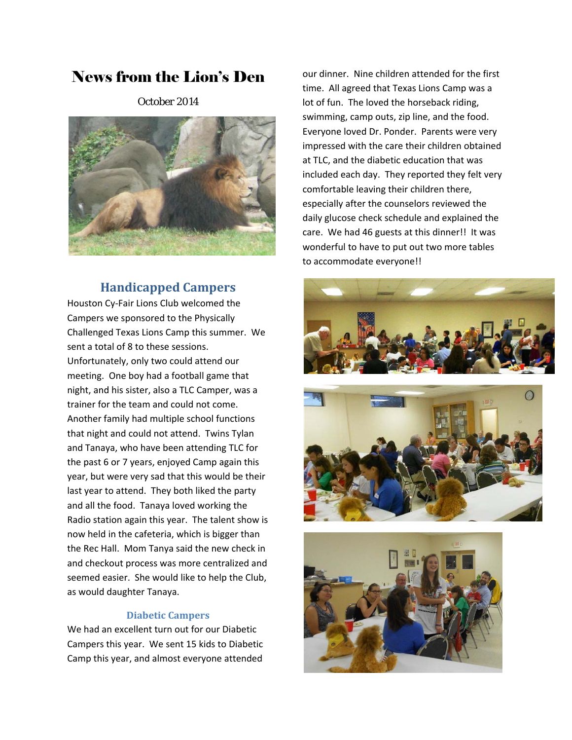# News from the Lion's Den

October 2014



# **Handicapped Campers**

Houston Cy‐Fair Lions Club welcomed the Campers we sponsored to the Physically Challenged Texas Lions Camp this summer. We sent a total of 8 to these sessions. Unfortunately, only two could attend our meeting. One boy had a football game that night, and his sister, also a TLC Camper, was a trainer for the team and could not come. Another family had multiple school functions that night and could not attend. Twins Tylan and Tanaya, who have been attending TLC for the past 6 or 7 years, enjoyed Camp again this year, but were very sad that this would be their last year to attend. They both liked the party and all the food. Tanaya loved working the Radio station again this year. The talent show is now held in the cafeteria, which is bigger than the Rec Hall. Mom Tanya said the new check in and checkout process was more centralized and seemed easier. She would like to help the Club, as would daughter Tanaya.

## **Diabetic Campers**

We had an excellent turn out for our Diabetic Campers this year. We sent 15 kids to Diabetic Camp this year, and almost everyone attended

our dinner. Nine children attended for the first time. All agreed that Texas Lions Camp was a lot of fun. The loved the horseback riding, swimming, camp outs, zip line, and the food. Everyone loved Dr. Ponder. Parents were very impressed with the care their children obtained at TLC, and the diabetic education that was included each day. They reported they felt very comfortable leaving their children there, especially after the counselors reviewed the daily glucose check schedule and explained the care. We had 46 guests at this dinner!! It was wonderful to have to put out two more tables to accommodate everyone!!





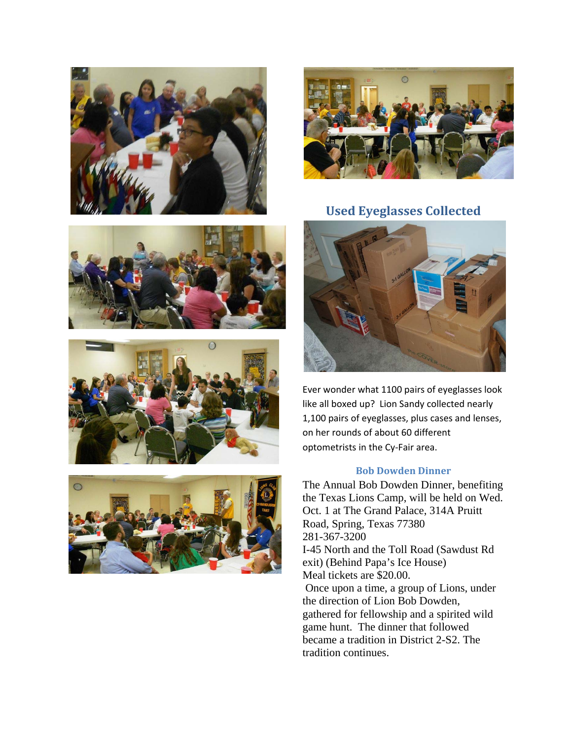









**Used Eyeglasses Collected**



Ever wonder what 1100 pairs of eyeglasses look like all boxed up? Lion Sandy collected nearly 1,100 pairs of eyeglasses, plus cases and lenses, on her rounds of about 60 different optometrists in the Cy‐Fair area.

## **Bob Dowden Dinner**

The Annual Bob Dowden Dinner, benefiting the Texas Lions Camp, will be held on Wed. Oct. 1 at The Grand Palace, 314A Pruitt Road, Spring, Texas 77380 281-367-3200 I-45 North and the Toll Road (Sawdust Rd exit) (Behind Papa's Ice House) Meal tickets are \$20.00. Once upon a time, a group of Lions, under the direction of Lion Bob Dowden, gathered for fellowship and a spirited wild game hunt. The dinner that followed became a tradition in District 2-S2. The tradition continues.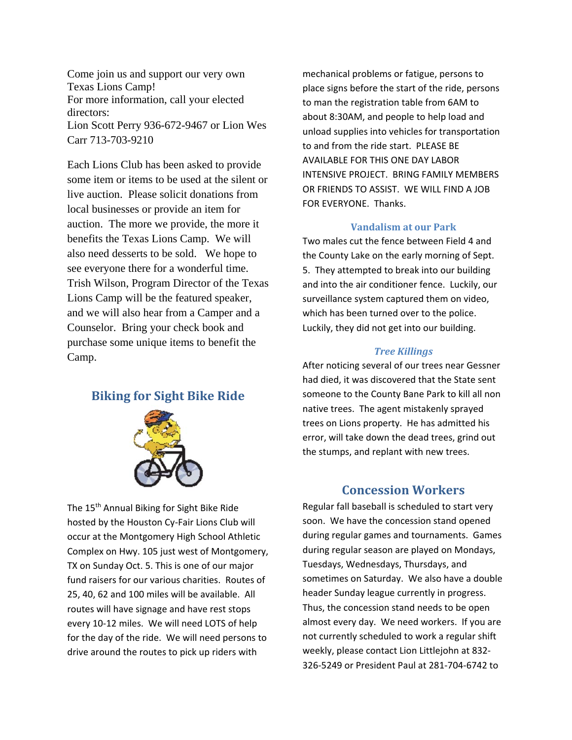Come join us and support our very own Texas Lions Camp! For more information, call your elected directors: Lion Scott Perry 936-672-9467 or Lion Wes Carr 713-703-9210

Each Lions Club has been asked to provide some item or items to be used at the silent or live auction. Please solicit donations from local businesses or provide an item for auction. The more we provide, the more it benefits the Texas Lions Camp. We will also need desserts to be sold. We hope to see everyone there for a wonderful time. Trish Wilson, Program Director of the Texas Lions Camp will be the featured speaker, and we will also hear from a Camper and a Counselor. Bring your check book and purchase some unique items to benefit the Camp.

## **Biking for Sight Bike Ride**



The 15<sup>th</sup> Annual Biking for Sight Bike Ride hosted by the Houston Cy‐Fair Lions Club will occur at the Montgomery High School Athletic Complex on Hwy. 105 just west of Montgomery, TX on Sunday Oct. 5. This is one of our major fund raisers for our various charities. Routes of 25, 40, 62 and 100 miles will be available. All routes will have signage and have rest stops every 10‐12 miles. We will need LOTS of help for the day of the ride. We will need persons to drive around the routes to pick up riders with

mechanical problems or fatigue, persons to place signs before the start of the ride, persons to man the registration table from 6AM to about 8:30AM, and people to help load and unload supplies into vehicles for transportation to and from the ride start. PLEASE BE AVAILABLE FOR THIS ONE DAY LABOR INTENSIVE PROJECT. BRING FAMILY MEMBERS OR FRIENDS TO ASSIST. WE WILL FIND A JOB FOR EVERYONE. Thanks.

#### **Vandalism at our Park**

Two males cut the fence between Field 4 and the County Lake on the early morning of Sept. 5. They attempted to break into our building and into the air conditioner fence. Luckily, our surveillance system captured them on video, which has been turned over to the police. Luckily, they did not get into our building.

#### *Tree Killings*

After noticing several of our trees near Gessner had died, it was discovered that the State sent someone to the County Bane Park to kill all non native trees. The agent mistakenly sprayed trees on Lions property. He has admitted his error, will take down the dead trees, grind out the stumps, and replant with new trees.

## **Concession Workers**

Regular fall baseball is scheduled to start very soon. We have the concession stand opened during regular games and tournaments. Games during regular season are played on Mondays, Tuesdays, Wednesdays, Thursdays, and sometimes on Saturday. We also have a double header Sunday league currently in progress. Thus, the concession stand needs to be open almost every day. We need workers. If you are not currently scheduled to work a regular shift weekly, please contact Lion Littlejohn at 832‐ 326‐5249 or President Paul at 281‐704‐6742 to